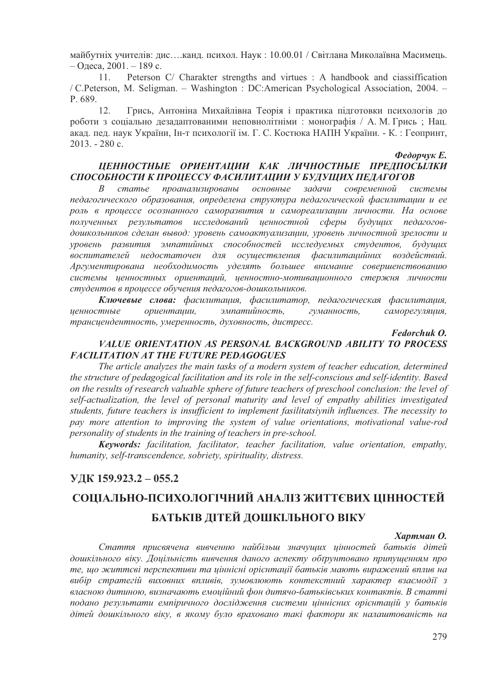майбутніх учителів: лис....канл. психол. Наук: 10.00.01 / Світлана Миколаївна Масимець.  $-$ Олеса, 2001. – 189 с.

 $11.$ Peterson C/ Charakter strengths and virtues : A handbook and classiffication / C.Peterson, M. Seligman. – Washington : DC:American Psychological Association, 2004. – P. 689.

 $12.$ Грись, Антоніна Михайлівна Теорія і практика підготовки психологів до роботи з соціально дезадаптованими неповнолітніми: монографія / А. М. Грись; Нац. акад. пед. наук України, Ін-т психології ім. Г. С. Костюка НАПН України. - К.: Геопринт,  $2013. - 280c.$ 

Федорчук Е.

# ШЕННОСТНЫЕ ОРИЕНТАЦИИ КАК ЛИЧНОСТНЫЕ ПРЕЛПОСЫЛКИ СПОСОБНОСТИ К ПРОЦЕССУ ФАСИЛИТАЦИИ У БУДУЩИХ ПЕДАГОГОВ

 $c$ татье проанализированы основные задачи современной  $\overline{B}$ системы педагогического образования, определена структура педагогической фасилитации и ее роль в проиессе осознанного саморазвития и самореализации личности. На основе полученных результатов исследований иенностной сферы будущих педагоговдошкольников сделан вывод: уровень самоактуализации, уровень личностной зрелости и уровень развития эмпатийных способностей исследуемых студентов, будущих осуществления фасилитацийних воздействий. воспитателей недостаточен для Аргументирована необходимость уделять большее внимание совершенствованию системы ценностных ориентаций, ценностно-мотивационного стержня личности студентов в процессе обучения педагогов-дошкольников.

Ключевые слова: фасилитация, фасилитатор, педагогическая фасилитация, эмпатийность, саморегуляция, иенностные ориенташии, гуманность, трансиендентность, умеренность, духовность, дистресс.

# Fedorchuk O.

### VALUE ORIENTATION AS PERSONAL BACKGROUND ABILITY TO PROCESS **FACILITATION AT THE FUTURE PEDAGOGUES**

The article analyzes the main tasks of a modern system of teacher education, determined the structure of pedagogical facilitation and its role in the self-conscious and self-identity. Based on the results of research valuable sphere of future teachers of preschool conclusion: the level of self-actualization, the level of personal maturity and level of empathy abilities investigated students, future teachers is insufficient to implement fasilitatsiynih influences. The necessity to pay more attention to improving the system of value orientations, motivational value-rod personality of students in the training of teachers in pre-school.

Kevwords: facilitation, facilitator, teacher facilitation, value orientation, empathy, humanity, self-transcendence, sobriety, spirituality, distress.

# УДК 159.923.2 - 055.2

# СОЦІАЛЬНО-ПСИХОЛОГІЧНИЙ АНАЛІЗ ЖИТТЄВИХ ЦІННОСТЕЙ БАТЬКІВ ДІТЕЙ ДОШКІЛЬНОГО ВІКУ

#### Хартман О.

Стаття присвячена вивченню найбільш значущих цінностей батьків дітей дошкільного віку. Доцільність вивчення даного аспекту обґрунтовано припущенням про те, що життєві перспективи та ціннісні орієнтації батьків мають виражений вплив на вибір стратегій виховних впливів, зумовлюють контекстний характер взаємодії з власною дитиною, визначають емоийний фон дитячо-батьківських контактів. В статті подано результати емпіричного дослідження системи иіннісних орієнтацій у батьків дітей дошкільного віку, в якому було враховано такі фактори як налаштованість на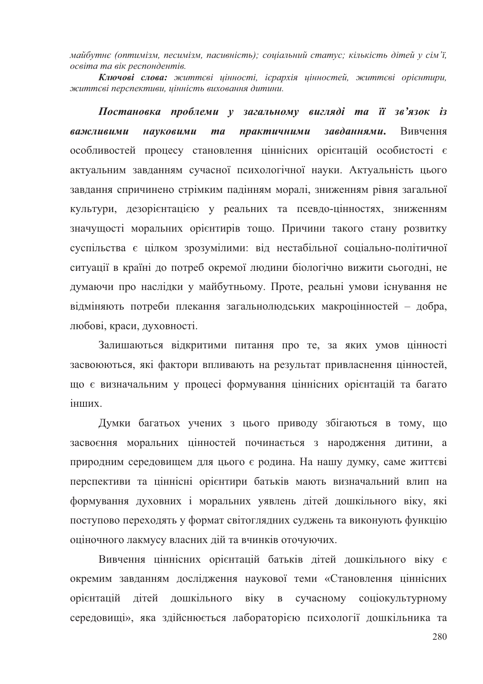майбутнє (оптимізм, песимізм, пасивність); соціальний статус; кількість дітей у сім'ї, освіта та вік респондентів.

Ключові слова: життєві иінності, ієрархія иінностей, життєві орієнтири, життєві перспективи, иінність виховання дитини.

Постановка проблеми у загальному вигляді та її зв'язок із практичними важливими науковими  $ma$ завданнями. Вивчення особливостей процесу становлення ціннісних орієнтацій особистості є актуальним завланням сучасної психологічної науки. Актуальність пього завдання спричинено стрімким падінням моралі, зниженням рівня загальної культури, дезорієнтацією у реальних та псевдо-цінностях, зниженням значущості моральних орієнтирів тощо. Причини такого стану розвитку суспільства є цілком зрозумілими: від нестабільної соціально-політичної ситуації в країні до потреб окремої людини біологічно вижити сьогодні, не думаючи про наслідки у майбутньому. Проте, реальні умови існування не відміняють потреби плекання загальнолюдських макроцінностей - добра, любові, краси, духовності.

Залишаються відкритими питання про те, за яких умов цінності засвоюються, які фактори впливають на результат привласнення цінностей, що є визначальним у процесі формування ціннісних орієнтацій та багато інших.

Думки багатьох учених з цього приводу збігаються в тому, що засвоєння моральних цінностей починається з народження дитини, а природним середовищем для цього є родина. На нашу думку, саме життєві перспективи та ціннісні орієнтири батьків мають визначальний влип на формування духовних і моральних уявлень дітей дошкільного віку, які поступово переходять у формат світоглядних суджень та виконують функцію оціночного лакмусу власних дій та вчинків оточуючих.

Вивчення ціннісних орієнтацій батьків дітей дошкільного віку є окремим завданням дослідження наукової теми «Становлення ціннісних орієнтацій дітей дошкільного віку в сучасному соціокультурному середовищі», яка здійснюється лабораторією психології дошкільника та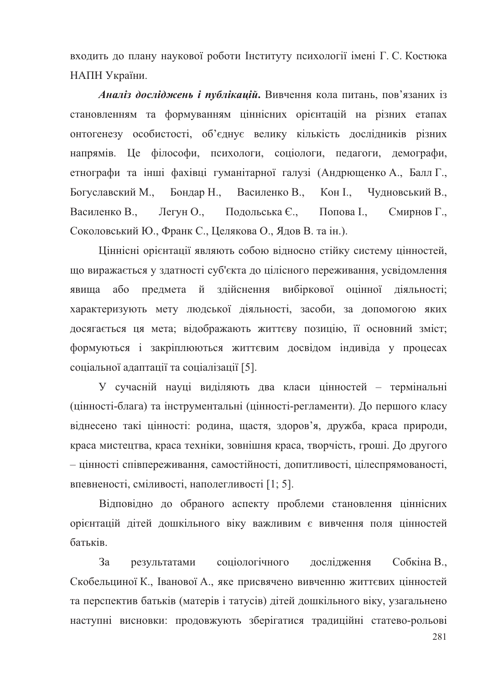входить до плану наукової роботи Інституту психології імені Г. С. Костюка НАПН України.

Аналіз досліджень і публікацій. Вивчення кола питань, пов'язаних із становленням та формуванням ціннісних орієнтацій на різних етапах онтогенезу особистості. об'єднує велику кількість дослідників різних напрямів. Це філософи, психологи, соціологи, педагоги, демографи, етнографи та інші фахівці гуманітарної галузі (Андрющенко А., Балл Г., Богуславский М., Бондар Н., Василенко В., Кон I., Чудновський В., Василенко В., Легун О., Подольська Є., Попова І., Смирнов Г. Соколовський Ю., Франк С., Целякова О., Ялов В. та ін.).

Ціннісні орієнтації являють собою відносно стійку систему цінностей, що виражається у здатності суб'єкта до цілісного переживання, усвідомлення явища або предмета й здійснення вибіркової оцінної діяльності; характеризують мету людської діяльності, засоби, за допомогою яких досягається ця мета; відображають життєву позицію, її основний зміст; формуються і закріплюються життєвим досвідом індивіда у процесах соціальної адаптації та соціалізації [5].

У сучасній науці виділяють два класи цінностей - термінальні (цінності-блага) та інструментальні (цінності-регламенти). До першого класу віднесено такі цінності: родина, щастя, здоров'я, дружба, краса природи, краса мистецтва, краса техніки, зовнішня краса, творчість, гроші. До другого - цінності співпереживання, самостійності, допитливості, цілеспрямованості, впевненості, сміливості, наполегливості [1; 5].

Відповідно до обраного аспекту проблеми становлення ціннісних орієнтацій дітей дошкільного віку важливим є вивчення поля цінностей батьків.

3a соціологічного дослідження результатами Собкіна В., Скобельциної К., Іванової А., яке присвячено вивченню життєвих цінностей та перспектив батьків (матерів і татусів) дітей дошкільного віку, узагальнено наступні висновки: продовжують зберігатися традиційні статево-рольові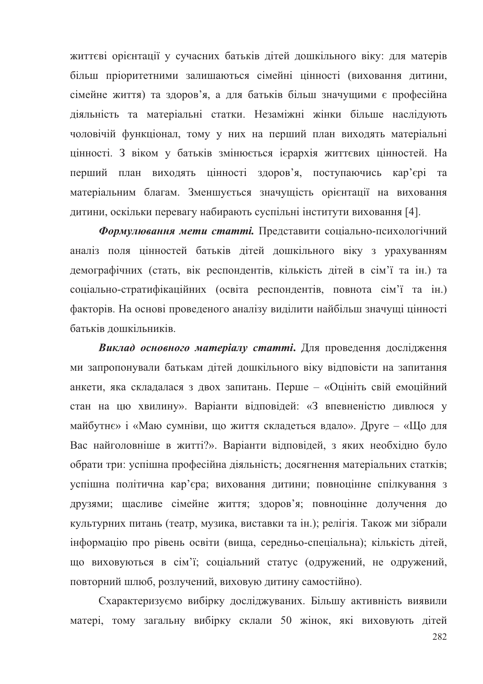життєві орієнтації у сучасних батьків дітей дошкільного віку: для матерів більш пріоритетними залишаються сімейні цінності (виховання дитини, сімейне життя) та здоров'я, а для батьків більш значущими є професійна діяльність та матеріальні статки. Незаміжні жінки більше наслідують чоловічій функціонал, тому у них на перший план вихолять матеріальні цінності. З віком у батьків змінюється ієрархія життєвих цінностей. На перший план виходять цінності здоров'я, поступаючись кар'єрі та матеріальним благам. Зменшується значущість орієнтації на виховання дитини, оскільки перевагу набирають суспільні інститути виховання [4].

Формулювання мети статті. Представити соціально-психологічний аналіз поля цінностей батьків дітей дошкільного віку з урахуванням лемографічних (стать, вік респонлентів, кількість літей в сім'ї та ін.) та соціально-стратифікаційних (освіта респондентів, повнота сім'ї та ін.) факторів. На основі проведеного аналізу виділити найбільш значущі цінності батьків лошкільників.

Виклад основного матеріалу статті. Для проведення дослідження ми запропонували батькам дітей дошкільного віку відповісти на запитання анкети, яка складалася з двох запитань. Перше - «Оцініть свій емоційний стан на цю хвилину». Варіанти відповідей: «З впевненістю дивлюся у майбутнє» і «Маю сумніви, що життя складеться вдало». Друге - «Шо для Вас найголовніше в житті?». Варіанти відповідей, з яких необхідно було обрати три: успішна професійна діяльність; досягнення матеріальних статків; успішна політична кар'єра; виховання дитини; повноцінне спілкування з друзями; щасливе сімейне життя; здоров'я; повноцінне долучення до культурних питань (театр, музика, виставки та ін.); релігія. Також ми зібрали інформацію про рівень освіти (вища, середньо-спеціальна); кількість дітей, що виховуються в сім'ї; соціальний статус (одружений, не одружений, повторний шлюб, розлучений, виховую дитину самостійно).

Схарактеризуємо вибірку досліджуваних. Більшу активність виявили матері, тому загальну вибірку склали 50 жінок, які виховують дітей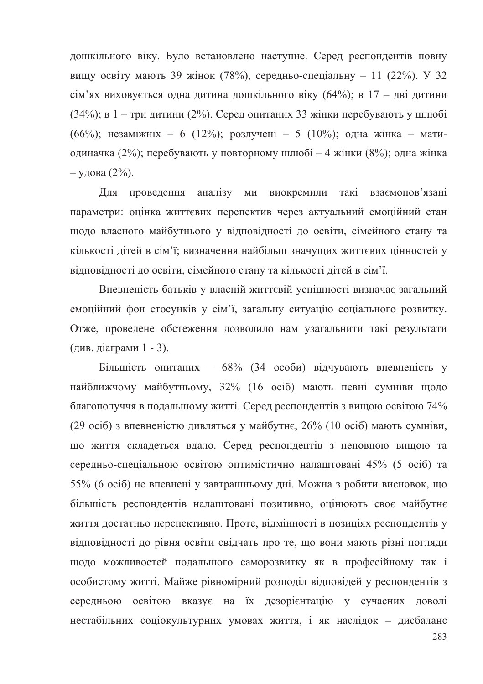дошкільного віку. Було встановлено наступне. Серед респондентів повну вищу освіту мають 39 жінок (78%), середньо-спеціальну - 11 (22%). У 32 сім'ях виховується одна дитина дошкільного віку (64%); в 17 - дві дитини  $(34\%)$ ; в 1 - три дитини (2%). Серед опитаних 33 жінки перебувають у шлюбі (66%); незаміжніх - 6 (12%); розлучені - 5 (10%); одна жінка - матиодиначка (2%); перебувають у повторному шлюбі - 4 жінки (8%); одна жінка  $-$  удова (2%).

Для проведення аналізу ми виокремили такі взаємопов'язані параметри: оцінка життєвих перспектив через актуальний емоційний стан шоло власного майбутнього у вілповілності до освіти, сімейного стану та кількості дітей в сім'ї; визначення найбільш значущих життєвих цінностей у вілповілності до освіти, сімейного стану та кількості літей в сім'ї.

Впевненість батьків у власній життєвій успішності визначає загальний емоційний фон стосунків у сім'ї, загальну ситуацію соціального розвитку. Отже, проведене обстеження дозволило нам узагальнити такі результати (див. діаграми 1 - 3).

Більшість опитаних - 68% (34 особи) відчувають впевненість у найближчому майбутньому, 32% (16 осіб) мають певні сумніви щодо благополуччя в подальшому житті. Серед респондентів з вищою освітою 74% (29 осіб) з впевненістю дивляться у майбутнє, 26% (10 осіб) мають сумніви, що життя складеться вдало. Серед респондентів з неповною вищою та середньо-спеціальною освітою оптимістично налаштовані 45% (5 осіб) та 55% (6 осіб) не впевнені у завтрашньому дні. Можна з робити висновок, що більшість респондентів налаштовані позитивно, оцінюють своє майбутнє життя достатньо перспективно. Проте, відмінності в позиціях респондентів у відповідності до рівня освіти свідчать про те, що вони мають різні погляди щодо можливостей подальшого саморозвитку як в професійному так і особистому житті. Майже рівномірний розподіл відповідей у респондентів з середньою освітою вказує на їх дезорієнтацію у сучасних доволі нестабільних соціокультурних умовах життя, і як наслідок - дисбаланс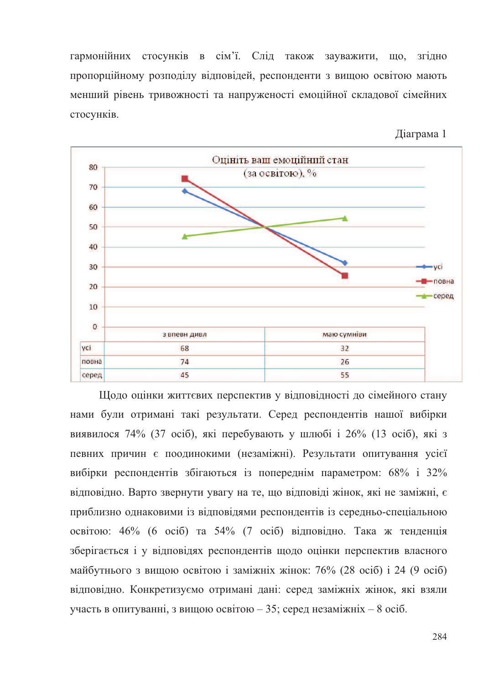гармонійних стосунків в сім'ї. Слід також зауважити, що, згідно пропорційному розподілу відповідей, респонденти з вищою освітою мають менший рівень тривожності та напруженості емоційної складової сімейних стосунків.

Ліаграма 1



Щодо оцінки життєвих перспектив у відповідності до сімейного стану нами були отримані такі результати. Серед респондентів нашої вибірки виявилося 74% (37 осіб), які перебувають у шлюбі і 26% (13 осіб), які з певних причин є поодинокими (незаміжні). Результати опитування усієї вибірки респондентів збігаються із попереднім параметром: 68% і 32% вілповілно. Варто звернути увагу на те, що вілповілі жінок, які не заміжні, є приблизно однаковими із відповідями респондентів із середньо-спеціальною освітою: 46% (6 осіб) та 54% (7 осіб) відповідно. Така ж тенденція зберігається і у відповідях респондентів щодо оцінки перспектив власного майбутнього з вищою освітою і заміжніх жінок: 76% (28 осіб) і 24 (9 осіб) відповідно. Конкретизуємо отримані дані: серед заміжніх жінок, які взяли участь в опитуванні, з вищою освітою – 35; серед незаміжніх – 8 осіб.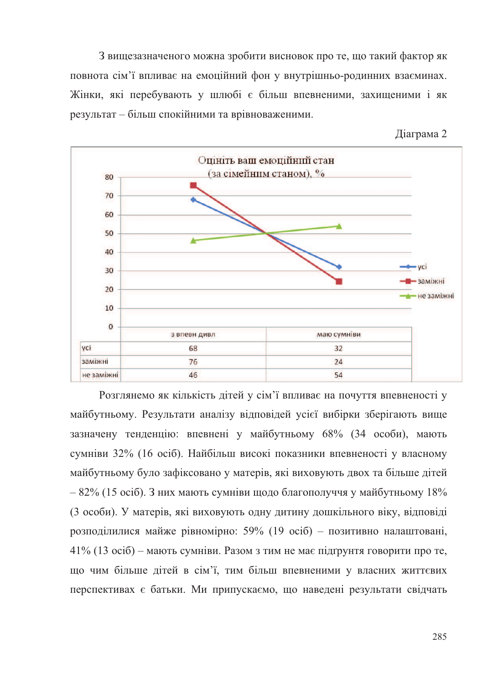З вищезазначеного можна зробити висновок про те, що такий фактор як повнота сім'ї впливає на емоційний фон у внутрішньо-родинних взаєминах. Жінки, які перебувають у шлюбі є більш впевненими, захищеними і як результат - більш спокійними та врівноваженими.

Ліаграма 2



Розглянемо як кількість дітей у сім'ї впливає на почуття впевненості у майбутньому. Результати аналізу відповідей усієї вибірки зберігають вище зазначену тенденцію: впевнені у майбутньому 68% (34 особи), мають сумніви 32% (16 осіб). Найбільш високі показники впевненості у власному майбутньому було зафіксовано у матерів, які виховують двох та більше дітей  $-82\%$  (15 осіб). З них мають сумніви шоло благополуччя у майбутньому 18% (3 особи). У матерів, які виховують одну дитину дошкільного віку, відповіді розподілилися майже рівномірно: 59% (19 осіб) - позитивно налаштовані, 41% (13 осіб) – мають сумніви. Разом з тим не має підгрунтя говорити про те, що чим більше дітей в сім'ї, тим більш впевненими у власних життєвих перспективах є батьки. Ми припускаємо, що наведені результати свідчать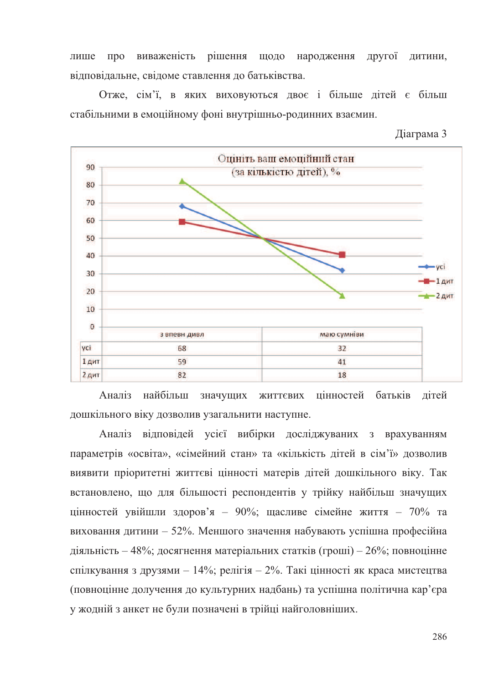про виваженість рішення щодо народження другої дитини, лише вілповілальне, свіломе ставлення до батьківства.

Отже, сім'ї, в яких виховуються двоє і більше дітей є більш стабільними в емоційному фоні внутрішньо-родинних взаємин.

Ліаграма 3



Аналіз найбільш значущих життєвих цінностей батьків дітей дошкільного віку дозволив узагальнити наступне.

Аналіз відповідей усієї вибірки досліджуваних з врахуванням параметрів «освіта», «сімейний стан» та «кількість дітей в сім'ї» дозволив виявити пріоритетні життєві цінності матерів дітей дошкільного віку. Так встановлено, що для більшості респондентів у трійку найбільш значуших цінностей увійшли здоров'я - 90%; щасливе сімейне життя - 70% та виховання дитини - 52%. Меншого значення набувають успішна професійна діяльність – 48%; досягнення матеріальних статків (гроші) – 26%; повноцінне спілкування з друзями - 14%; релігія - 2%. Такі цінності як краса мистецтва (повноцінне долучення до культурних надбань) та успішна політична кар'єра у жодній з анкет не були позначені в трійці найголовніших.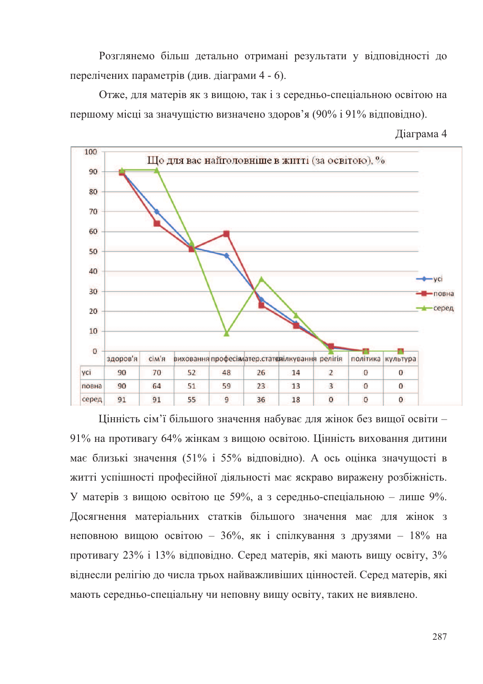Розглянемо більш детально отримані результати у відповідності до перелічених параметрів (див. діаграми 4 - 6).

Отже, для матерів як з вищою, так і з середньо-спеціальною освітою на першому місці за значущістю визначено здоров'я (90% і 91% відповідно).





Цінність сім'ї більшого значення набуває для жінок без вищої освіти -91% на противагу 64% жінкам з вищою освітою. Цінність виховання дитини має близькі значення (51% і 55% відповідно). А ось оцінка значущості в житті успішності професійної діяльності має яскраво виражену розбіжність. У матерів з вищою освітою це 59%, а з середньо-спеціальною - лише 9%. Досягнення матеріальних статків більшого значення має для жінок з неповною вищою освітою - 36%, як і спілкування з друзями - 18% на противагу 23% і 13% відповідно. Серед матерів, які мають вищу освіту, 3% віднесли релігію до числа трьох найважливіших цінностей. Серед матерів, які мають середньо-спеціальну чи неповну вищу освіту, таких не виявлено.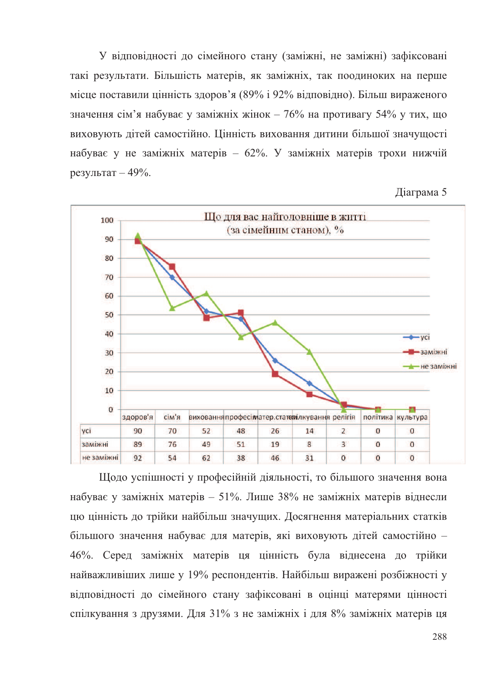У відповідності до сімейного стану (заміжні, не заміжні) зафіксовані такі результати. Більшість матерів, як заміжніх, так поодиноких на перше місце поставили цінність здоров'я (89% і 92% відповідно). Більш вираженого значення сім'я набуває у заміжніх жінок - 76% на противагу 54% у тих. шо виховують літей самостійно. Пінність виховання литини більшої значушості набуває у не заміжніх матерів - 62%. У заміжніх матерів трохи нижчій результат - 49%.

Діаграма 5



Шодо успішності у професійній діяльності, то більшого значення вона набуває у заміжніх матерів – 51%. Лише 38% не заміжніх матерів віднесли цю цінність до трійки найбільш значущих. Досягнення матеріальних статків більшого значення набуває для матерів, які виховують дітей самостійно -46%. Серед заміжніх матерів ця цінність була віднесена до трійки найважливіших лише у 19% респондентів. Найбільш виражені розбіжності у відповідності до сімейного стану зафіксовані в оцінці матерями цінності спілкування з друзями. Для 31% з не заміжніх і для 8% заміжніх матерів ця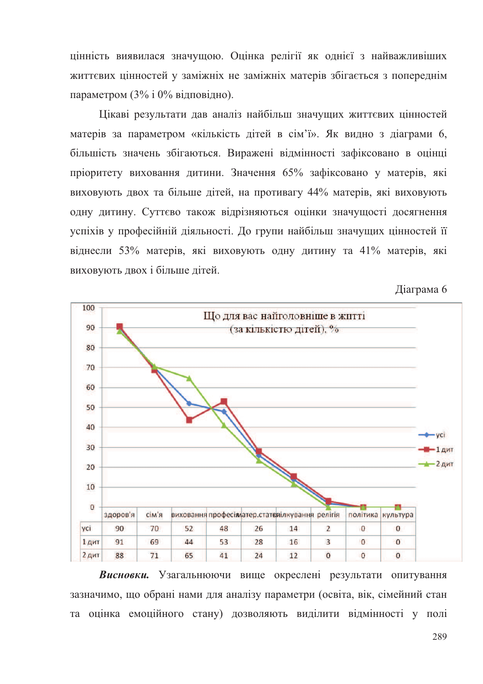цінність виявилася значущою. Оцінка релігії як однієї з найважливіших життєвих цінностей у заміжніх не заміжніх матерів збігається з попереднім параметром (3% і 0% відповідно).

Цікаві результати дав аналіз найбільш значущих життєвих цінностей матерів за параметром «кількість літей в сім'ї». Як вилно з ліаграми 6. більшість значень збігаються. Виражені відмінності зафіксовано в оцінці пріоритету виховання дитини. Значення 65% зафіксовано у матерів, які виховують двох та більше дітей, на противагу 44% матерів, які виховують одну дитину. Суттєво також відрізняються оцінки значущості досягнення venixiв у професійній ліяльності. Ло групи найбільш значуших пінностей її віднесли 53% матерів, які виховують одну дитину та 41% матерів, які виховують двох і більше дітей.

Діаграма 6



Висновки. Узагальнюючи вище окреслені результати опитування зазначимо, що обрані нами для аналізу параметри (освіта, вік, сімейний стан та оцінка емоційного стану) дозволяють виділити відмінності у полі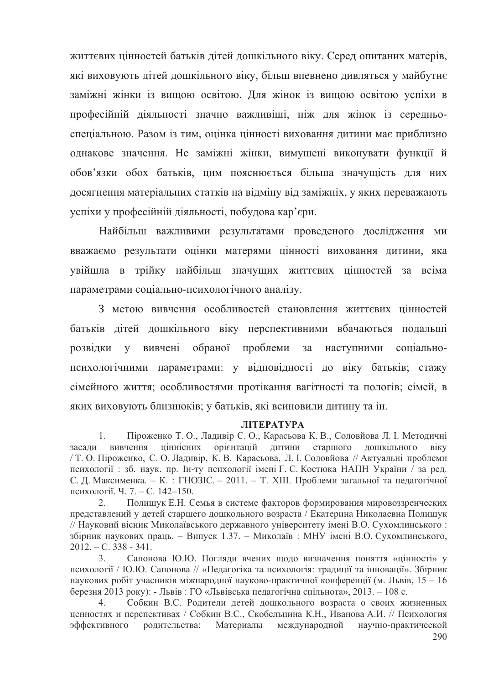життєвих цінностей батьків дітей дошкільного віку. Серед опитаних матерів, які виховують дітей дошкільного віку, більш впевнено дивляться у майбутнє заміжні жінки із вищою освітою. Для жінок із вищою освітою успіхи в професійній діяльності значно важливіші, ніж для жінок із середньоспеціальною. Разом із тим, оцінка цінності виховання литини має приблизно однакове значення. Не заміжні жінки, вимушені виконувати функції й обов'язки обох батьків, цим пояснюється більша значущість для них досягнення матеріальних статків на відміну від заміжніх, у яких переважають успіхи у професійній діяльності, побудова кар'єри.

Найбільш важливими результатами проведеного дослідження ми вважаємо результати оцінки матерями цінності виховання дитини, яка увійшла в трійку найбільш значущих життєвих цінностей за всіма параметрами соціально-психологічного аналізу.

З метою вивчення особливостей становлення життєвих пінностей батьків дітей дошкільного віку перспективними вбачаються подальші розвідки у вивчені обраної проблеми за наступними соціальнопсихологічними параметрами: у відповідності до віку батьків; стажу сімейного життя; особливостями протікання вагітності та пологів; сімей, в яких виховують близнюків; у батьків, які всиновили дитину та ін.

#### ЛІТЕРАТУРА

Піроженко Т. О., Ладивір С. О., Карасьова К. В., Соловйова Л. І. Методичні 1. ціннісних орієнтацій дитини старшого дошкільного засади вивчення віку / Т. О. Піроженко, С. О. Ладивір, К. В. Карасьова, Л. І. Соловйова // Актуальні проблеми психології : зб. наук. пр. Ін-ту психології імені Г. С. Костюка НАПН України / за ред. С. Д. Максименка. - К.: ГНОЗІС. - 2011. - Т. XIII. Проблеми загальної та педагогічної психології. Ч. 7. – С. 142–150.

 $2<sub>1</sub>$ Полищук Е.Н. Семья в системе факторов формирования мировоззренческих представлений у детей старшего дошкольного возраста / Екатерина Николаевна Полищук // Науковий вісник Миколаївського державного університету імені В.О. Сухомлинського: збірник наукових праць. - Випуск 1.37. - Миколаїв : МНУ імені В.О. Сухомлинського,  $2012 - C.338 - 341.$ 

 $3<sub>1</sub>$ Сапонова Ю.Ю. Погляди вчених щодо визначення поняття «цінності» у психології / Ю.Ю. Сапонова // «Педагогіка та психологія: традиції та інновації». Збірник наукових робіт учасників міжнародної науково-практичної конференції (м. Львів, 15 – 16 березня 2013 року): - Львів: ГО «Львівська педагогічна спільнота», 2013. – 108 с.

Собкин В.С. Родители детей дошкольного возраста о своих жизненных  $\overline{4}$ ценностях и перспективах / Собкин В.С., Скобельцина К.Н., Иванова А.И. // Психология эффективного родительства: Материалы международной научно-практической